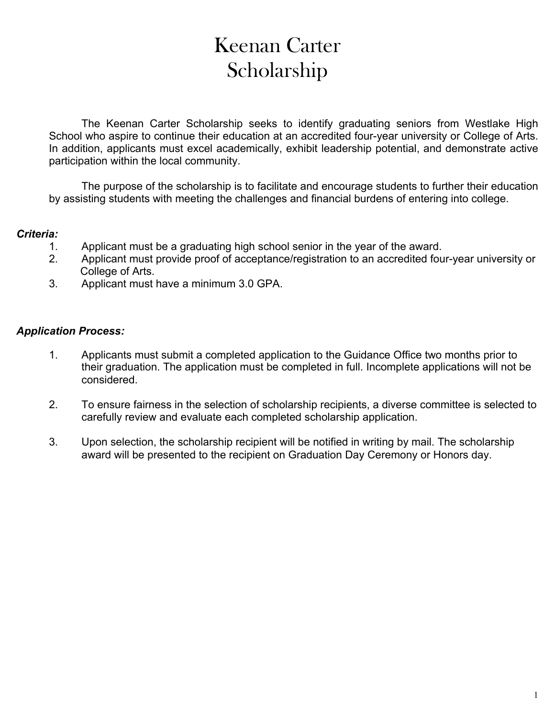## Keenan Carter Scholarship

The Keenan Carter Scholarship seeks to identify graduating seniors from Westlake High School who aspire to continue their education at an accredited four-year university or College of Arts. In addition, applicants must excel academically, exhibit leadership potential, and demonstrate active participation within the local community.

The purpose of the scholarship is to facilitate and encourage students to further their education by assisting students with meeting the challenges and financial burdens of entering into college.

## *Criteria:*

- 1. Applicant must be a graduating high school senior in the year of the award.
- 2. Applicant must provide proof of acceptance/registration to an accredited four-year university or College of Arts.
- 3. Applicant must have a minimum 3.0 GPA.

## *Application Process:*

- 1. Applicants must submit a completed application to the Guidance Office two months prior to their graduation. The application must be completed in full. Incomplete applications will not be considered.
- 2. To ensure fairness in the selection of scholarship recipients, a diverse committee is selected to carefully review and evaluate each completed scholarship application.
- 3. Upon selection, the scholarship recipient will be notified in writing by mail. The scholarship award will be presented to the recipient on Graduation Day Ceremony or Honors day.